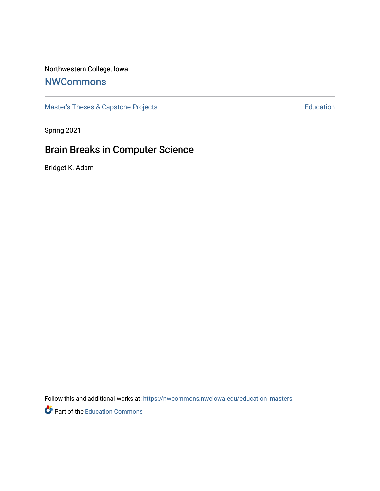## Northwestern College, Iowa

## **[NWCommons](https://nwcommons.nwciowa.edu/)**

[Master's Theses & Capstone Projects](https://nwcommons.nwciowa.edu/education_masters) **Education** Education

Spring 2021

# Brain Breaks in Computer Science

Bridget K. Adam

Follow this and additional works at: [https://nwcommons.nwciowa.edu/education\\_masters](https://nwcommons.nwciowa.edu/education_masters?utm_source=nwcommons.nwciowa.edu%2Feducation_masters%2F274&utm_medium=PDF&utm_campaign=PDFCoverPages)

Part of the [Education Commons](http://network.bepress.com/hgg/discipline/784?utm_source=nwcommons.nwciowa.edu%2Feducation_masters%2F274&utm_medium=PDF&utm_campaign=PDFCoverPages)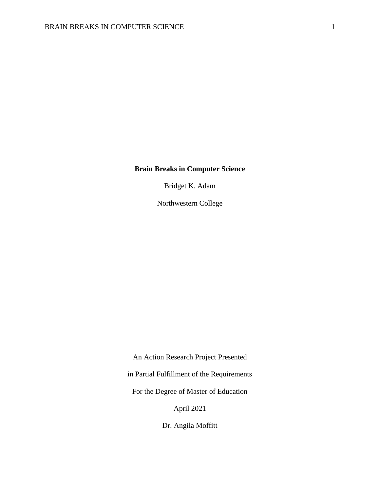## **Brain Breaks in Computer Science**

Bridget K. Adam

Northwestern College

An Action Research Project Presented in Partial Fulfillment of the Requirements For the Degree of Master of Education April 2021

Dr. Angila Moffitt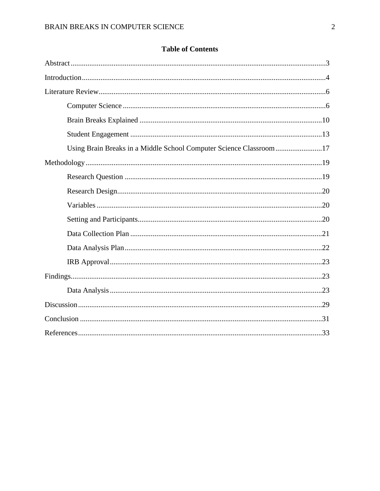| Using Brain Breaks in a Middle School Computer Science Classroom17 |
|--------------------------------------------------------------------|
|                                                                    |
|                                                                    |
|                                                                    |
|                                                                    |
|                                                                    |
|                                                                    |
|                                                                    |
|                                                                    |
|                                                                    |
|                                                                    |
|                                                                    |
|                                                                    |
|                                                                    |

## **Table of Contents**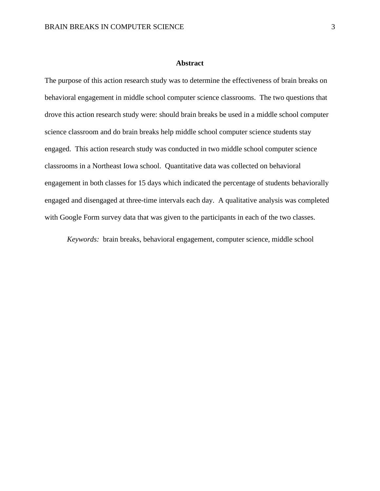#### **Abstract**

The purpose of this action research study was to determine the effectiveness of brain breaks on behavioral engagement in middle school computer science classrooms. The two questions that drove this action research study were: should brain breaks be used in a middle school computer science classroom and do brain breaks help middle school computer science students stay engaged. This action research study was conducted in two middle school computer science classrooms in a Northeast Iowa school. Quantitative data was collected on behavioral engagement in both classes for 15 days which indicated the percentage of students behaviorally engaged and disengaged at three-time intervals each day. A qualitative analysis was completed with Google Form survey data that was given to the participants in each of the two classes.

*Keywords:* brain breaks, behavioral engagement, computer science, middle school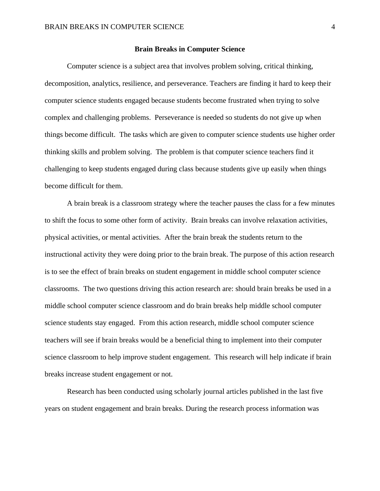#### **Brain Breaks in Computer Science**

Computer science is a subject area that involves problem solving, critical thinking, decomposition, analytics, resilience, and perseverance. Teachers are finding it hard to keep their computer science students engaged because students become frustrated when trying to solve complex and challenging problems. Perseverance is needed so students do not give up when things become difficult. The tasks which are given to computer science students use higher order thinking skills and problem solving. The problem is that computer science teachers find it challenging to keep students engaged during class because students give up easily when things become difficult for them.

A brain break is a classroom strategy where the teacher pauses the class for a few minutes to shift the focus to some other form of activity. Brain breaks can involve relaxation activities, physical activities, or mental activities. After the brain break the students return to the instructional activity they were doing prior to the brain break. The purpose of this action research is to see the effect of brain breaks on student engagement in middle school computer science classrooms. The two questions driving this action research are: should brain breaks be used in a middle school computer science classroom and do brain breaks help middle school computer science students stay engaged. From this action research, middle school computer science teachers will see if brain breaks would be a beneficial thing to implement into their computer science classroom to help improve student engagement. This research will help indicate if brain breaks increase student engagement or not.

Research has been conducted using scholarly journal articles published in the last five years on student engagement and brain breaks. During the research process information was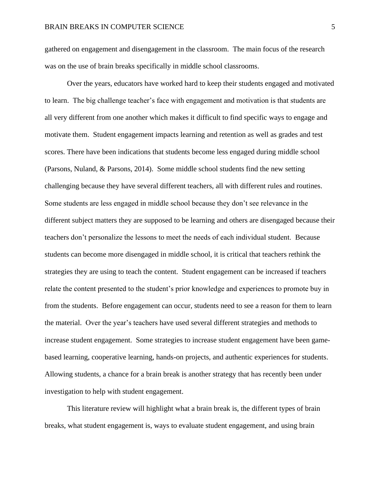gathered on engagement and disengagement in the classroom. The main focus of the research was on the use of brain breaks specifically in middle school classrooms.

Over the years, educators have worked hard to keep their students engaged and motivated to learn. The big challenge teacher's face with engagement and motivation is that students are all very different from one another which makes it difficult to find specific ways to engage and motivate them. Student engagement impacts learning and retention as well as grades and test scores. There have been indications that students become less engaged during middle school (Parsons, Nuland, & Parsons, 2014). Some middle school students find the new setting challenging because they have several different teachers, all with different rules and routines. Some students are less engaged in middle school because they don't see relevance in the different subject matters they are supposed to be learning and others are disengaged because their teachers don't personalize the lessons to meet the needs of each individual student. Because students can become more disengaged in middle school, it is critical that teachers rethink the strategies they are using to teach the content. Student engagement can be increased if teachers relate the content presented to the student's prior knowledge and experiences to promote buy in from the students. Before engagement can occur, students need to see a reason for them to learn the material. Over the year's teachers have used several different strategies and methods to increase student engagement. Some strategies to increase student engagement have been gamebased learning, cooperative learning, hands-on projects, and authentic experiences for students. Allowing students, a chance for a brain break is another strategy that has recently been under investigation to help with student engagement.

This literature review will highlight what a brain break is, the different types of brain breaks, what student engagement is, ways to evaluate student engagement, and using brain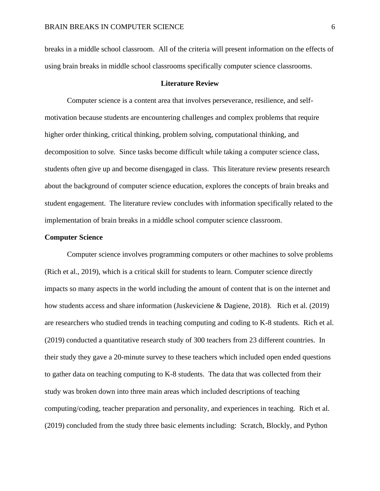breaks in a middle school classroom. All of the criteria will present information on the effects of using brain breaks in middle school classrooms specifically computer science classrooms.

#### **Literature Review**

Computer science is a content area that involves perseverance, resilience, and selfmotivation because students are encountering challenges and complex problems that require higher order thinking, critical thinking, problem solving, computational thinking, and decomposition to solve. Since tasks become difficult while taking a computer science class, students often give up and become disengaged in class. This literature review presents research about the background of computer science education, explores the concepts of brain breaks and student engagement. The literature review concludes with information specifically related to the implementation of brain breaks in a middle school computer science classroom.

#### **Computer Science**

Computer science involves programming computers or other machines to solve problems (Rich et al., 2019), which is a critical skill for students to learn. Computer science directly impacts so many aspects in the world including the amount of content that is on the internet and how students access and share information (Juskeviciene & Dagiene, 2018). Rich et al. (2019) are researchers who studied trends in teaching computing and coding to K-8 students. Rich et al. (2019) conducted a quantitative research study of 300 teachers from 23 different countries. In their study they gave a 20-minute survey to these teachers which included open ended questions to gather data on teaching computing to K-8 students. The data that was collected from their study was broken down into three main areas which included descriptions of teaching computing/coding, teacher preparation and personality, and experiences in teaching. Rich et al. (2019) concluded from the study three basic elements including: Scratch, Blockly, and Python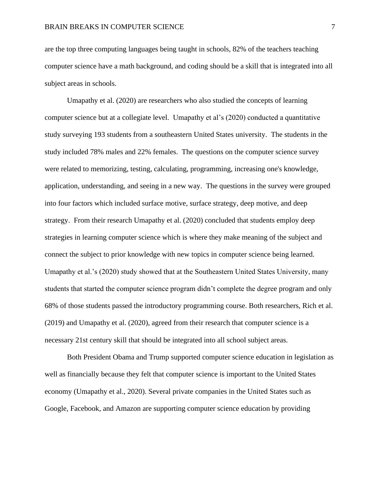are the top three computing languages being taught in schools, 82% of the teachers teaching computer science have a math background, and coding should be a skill that is integrated into all subject areas in schools.

Umapathy et al. (2020) are researchers who also studied the concepts of learning computer science but at a collegiate level. Umapathy et al's (2020) conducted a quantitative study surveying 193 students from a southeastern United States university. The students in the study included 78% males and 22% females. The questions on the computer science survey were related to memorizing, testing, calculating, programming, increasing one's knowledge, application, understanding, and seeing in a new way. The questions in the survey were grouped into four factors which included surface motive, surface strategy, deep motive, and deep strategy. From their research Umapathy et al. (2020) concluded that students employ deep strategies in learning computer science which is where they make meaning of the subject and connect the subject to prior knowledge with new topics in computer science being learned. Umapathy et al.'s (2020) study showed that at the Southeastern United States University, many students that started the computer science program didn't complete the degree program and only 68% of those students passed the introductory programming course. Both researchers, Rich et al. (2019) and Umapathy et al. (2020), agreed from their research that computer science is a necessary 21st century skill that should be integrated into all school subject areas.

Both President Obama and Trump supported computer science education in legislation as well as financially because they felt that computer science is important to the United States economy (Umapathy et al., 2020). Several private companies in the United States such as Google, Facebook, and Amazon are supporting computer science education by providing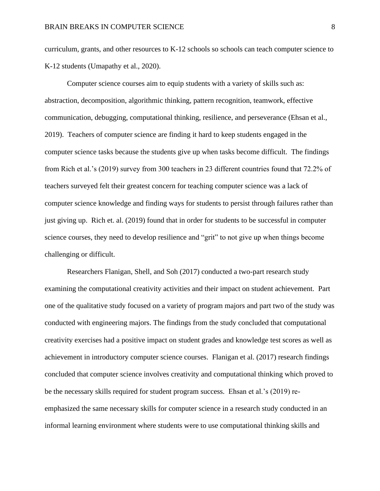curriculum, grants, and other resources to K-12 schools so schools can teach computer science to K-12 students (Umapathy et al., 2020).

Computer science courses aim to equip students with a variety of skills such as: abstraction, decomposition, algorithmic thinking, pattern recognition, teamwork, effective communication, debugging, computational thinking, resilience, and perseverance (Ehsan et al., 2019). Teachers of computer science are finding it hard to keep students engaged in the computer science tasks because the students give up when tasks become difficult. The findings from Rich et al.'s (2019) survey from 300 teachers in 23 different countries found that 72.2% of teachers surveyed felt their greatest concern for teaching computer science was a lack of computer science knowledge and finding ways for students to persist through failures rather than just giving up. Rich et. al. (2019) found that in order for students to be successful in computer science courses, they need to develop resilience and "grit" to not give up when things become challenging or difficult.

Researchers Flanigan, Shell, and Soh (2017) conducted a two-part research study examining the computational creativity activities and their impact on student achievement. Part one of the qualitative study focused on a variety of program majors and part two of the study was conducted with engineering majors. The findings from the study concluded that computational creativity exercises had a positive impact on student grades and knowledge test scores as well as achievement in introductory computer science courses. Flanigan et al. (2017) research findings concluded that computer science involves creativity and computational thinking which proved to be the necessary skills required for student program success. Ehsan et al.'s (2019) reemphasized the same necessary skills for computer science in a research study conducted in an informal learning environment where students were to use computational thinking skills and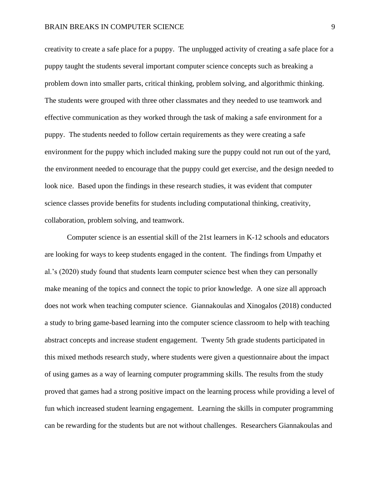creativity to create a safe place for a puppy. The unplugged activity of creating a safe place for a puppy taught the students several important computer science concepts such as breaking a problem down into smaller parts, critical thinking, problem solving, and algorithmic thinking. The students were grouped with three other classmates and they needed to use teamwork and effective communication as they worked through the task of making a safe environment for a puppy. The students needed to follow certain requirements as they were creating a safe environment for the puppy which included making sure the puppy could not run out of the yard, the environment needed to encourage that the puppy could get exercise, and the design needed to look nice. Based upon the findings in these research studies, it was evident that computer science classes provide benefits for students including computational thinking, creativity, collaboration, problem solving, and teamwork.

Computer science is an essential skill of the 21st learners in K-12 schools and educators are looking for ways to keep students engaged in the content. The findings from Umpathy et al.'s (2020) study found that students learn computer science best when they can personally make meaning of the topics and connect the topic to prior knowledge. A one size all approach does not work when teaching computer science. Giannakoulas and Xinogalos (2018) conducted a study to bring game-based learning into the computer science classroom to help with teaching abstract concepts and increase student engagement. Twenty 5th grade students participated in this mixed methods research study, where students were given a questionnaire about the impact of using games as a way of learning computer programming skills. The results from the study proved that games had a strong positive impact on the learning process while providing a level of fun which increased student learning engagement. Learning the skills in computer programming can be rewarding for the students but are not without challenges. Researchers Giannakoulas and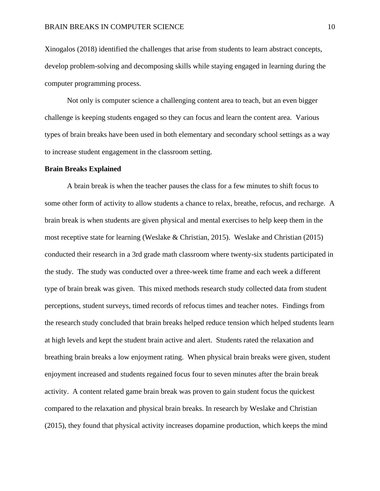Xinogalos (2018) identified the challenges that arise from students to learn abstract concepts, develop problem-solving and decomposing skills while staying engaged in learning during the computer programming process.

Not only is computer science a challenging content area to teach, but an even bigger challenge is keeping students engaged so they can focus and learn the content area. Various types of brain breaks have been used in both elementary and secondary school settings as a way to increase student engagement in the classroom setting.

#### **Brain Breaks Explained**

A brain break is when the teacher pauses the class for a few minutes to shift focus to some other form of activity to allow students a chance to relax, breathe, refocus, and recharge. A brain break is when students are given physical and mental exercises to help keep them in the most receptive state for learning (Weslake & Christian, 2015). Weslake and Christian (2015) conducted their research in a 3rd grade math classroom where twenty-six students participated in the study. The study was conducted over a three-week time frame and each week a different type of brain break was given. This mixed methods research study collected data from student perceptions, student surveys, timed records of refocus times and teacher notes. Findings from the research study concluded that brain breaks helped reduce tension which helped students learn at high levels and kept the student brain active and alert. Students rated the relaxation and breathing brain breaks a low enjoyment rating. When physical brain breaks were given, student enjoyment increased and students regained focus four to seven minutes after the brain break activity. A content related game brain break was proven to gain student focus the quickest compared to the relaxation and physical brain breaks. In research by Weslake and Christian (2015), they found that physical activity increases dopamine production, which keeps the mind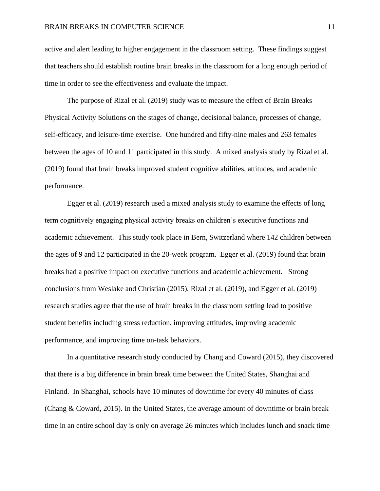active and alert leading to higher engagement in the classroom setting. These findings suggest that teachers should establish routine brain breaks in the classroom for a long enough period of time in order to see the effectiveness and evaluate the impact.

The purpose of Rizal et al. (2019) study was to measure the effect of Brain Breaks Physical Activity Solutions on the stages of change, decisional balance, processes of change, self-efficacy, and leisure-time exercise. One hundred and fifty-nine males and 263 females between the ages of 10 and 11 participated in this study. A mixed analysis study by Rizal et al. (2019) found that brain breaks improved student cognitive abilities, attitudes, and academic performance.

Egger et al. (2019) research used a mixed analysis study to examine the effects of long term cognitively engaging physical activity breaks on children's executive functions and academic achievement. This study took place in Bern, Switzerland where 142 children between the ages of 9 and 12 participated in the 20-week program. Egger et al. (2019) found that brain breaks had a positive impact on executive functions and academic achievement. Strong conclusions from Weslake and Christian (2015), Rizal et al. (2019), and Egger et al. (2019) research studies agree that the use of brain breaks in the classroom setting lead to positive student benefits including stress reduction, improving attitudes, improving academic performance, and improving time on-task behaviors.

In a quantitative research study conducted by Chang and Coward (2015), they discovered that there is a big difference in brain break time between the United States, Shanghai and Finland. In Shanghai, schools have 10 minutes of downtime for every 40 minutes of class (Chang & Coward, 2015). In the United States, the average amount of downtime or brain break time in an entire school day is only on average 26 minutes which includes lunch and snack time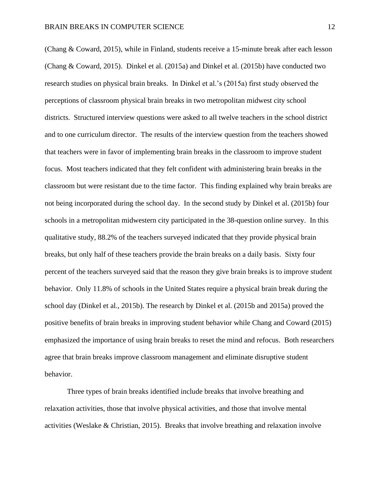(Chang & Coward, 2015), while in Finland, students receive a 15-minute break after each lesson (Chang & Coward, 2015). Dinkel et al. (2015a) and Dinkel et al. (2015b) have conducted two research studies on physical brain breaks. In Dinkel et al.'s (2015a) first study observed the perceptions of classroom physical brain breaks in two metropolitan midwest city school districts. Structured interview questions were asked to all twelve teachers in the school district and to one curriculum director. The results of the interview question from the teachers showed that teachers were in favor of implementing brain breaks in the classroom to improve student focus. Most teachers indicated that they felt confident with administering brain breaks in the classroom but were resistant due to the time factor. This finding explained why brain breaks are not being incorporated during the school day. In the second study by Dinkel et al. (2015b) four schools in a metropolitan midwestern city participated in the 38-question online survey. In this qualitative study, 88.2% of the teachers surveyed indicated that they provide physical brain breaks, but only half of these teachers provide the brain breaks on a daily basis. Sixty four percent of the teachers surveyed said that the reason they give brain breaks is to improve student behavior. Only 11.8% of schools in the United States require a physical brain break during the school day (Dinkel et al., 2015b). The research by Dinkel et al. (2015b and 2015a) proved the positive benefits of brain breaks in improving student behavior while Chang and Coward (2015) emphasized the importance of using brain breaks to reset the mind and refocus. Both researchers agree that brain breaks improve classroom management and eliminate disruptive student behavior.

Three types of brain breaks identified include breaks that involve breathing and relaxation activities, those that involve physical activities, and those that involve mental activities (Weslake & Christian, 2015). Breaks that involve breathing and relaxation involve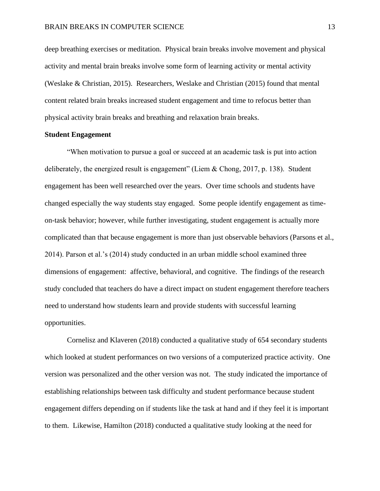deep breathing exercises or meditation. Physical brain breaks involve movement and physical activity and mental brain breaks involve some form of learning activity or mental activity (Weslake & Christian, 2015). Researchers, Weslake and Christian (2015) found that mental content related brain breaks increased student engagement and time to refocus better than physical activity brain breaks and breathing and relaxation brain breaks.

#### **Student Engagement**

"When motivation to pursue a goal or succeed at an academic task is put into action deliberately, the energized result is engagement" (Liem & Chong, 2017, p. 138). Student engagement has been well researched over the years. Over time schools and students have changed especially the way students stay engaged. Some people identify engagement as timeon-task behavior; however, while further investigating, student engagement is actually more complicated than that because engagement is more than just observable behaviors (Parsons et al., 2014). Parson et al.'s (2014) study conducted in an urban middle school examined three dimensions of engagement: affective, behavioral, and cognitive. The findings of the research study concluded that teachers do have a direct impact on student engagement therefore teachers need to understand how students learn and provide students with successful learning opportunities.

Cornelisz and Klaveren (2018) conducted a qualitative study of 654 secondary students which looked at student performances on two versions of a computerized practice activity. One version was personalized and the other version was not. The study indicated the importance of establishing relationships between task difficulty and student performance because student engagement differs depending on if students like the task at hand and if they feel it is important to them. Likewise, Hamilton (2018) conducted a qualitative study looking at the need for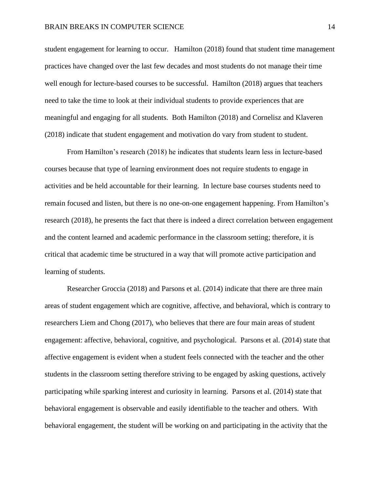student engagement for learning to occur. Hamilton (2018) found that student time management practices have changed over the last few decades and most students do not manage their time well enough for lecture-based courses to be successful. Hamilton (2018) argues that teachers need to take the time to look at their individual students to provide experiences that are meaningful and engaging for all students. Both Hamilton (2018) and Cornelisz and Klaveren (2018) indicate that student engagement and motivation do vary from student to student.

From Hamilton's research (2018) he indicates that students learn less in lecture-based courses because that type of learning environment does not require students to engage in activities and be held accountable for their learning. In lecture base courses students need to remain focused and listen, but there is no one-on-one engagement happening. From Hamilton's research (2018), he presents the fact that there is indeed a direct correlation between engagement and the content learned and academic performance in the classroom setting; therefore, it is critical that academic time be structured in a way that will promote active participation and learning of students.

Researcher Groccia (2018) and Parsons et al. (2014) indicate that there are three main areas of student engagement which are cognitive, affective, and behavioral, which is contrary to researchers Liem and Chong (2017), who believes that there are four main areas of student engagement: affective, behavioral, cognitive, and psychological. Parsons et al. (2014) state that affective engagement is evident when a student feels connected with the teacher and the other students in the classroom setting therefore striving to be engaged by asking questions, actively participating while sparking interest and curiosity in learning. Parsons et al. (2014) state that behavioral engagement is observable and easily identifiable to the teacher and others. With behavioral engagement, the student will be working on and participating in the activity that the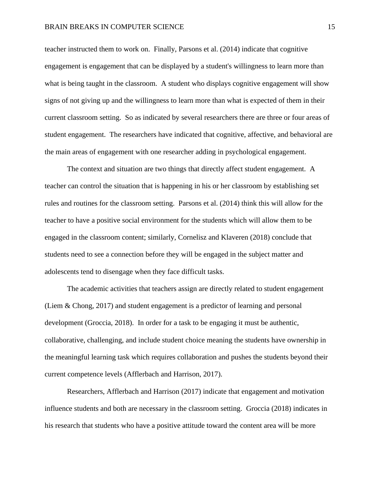teacher instructed them to work on. Finally, Parsons et al. (2014) indicate that cognitive engagement is engagement that can be displayed by a student's willingness to learn more than what is being taught in the classroom. A student who displays cognitive engagement will show signs of not giving up and the willingness to learn more than what is expected of them in their current classroom setting. So as indicated by several researchers there are three or four areas of student engagement. The researchers have indicated that cognitive, affective, and behavioral are the main areas of engagement with one researcher adding in psychological engagement.

The context and situation are two things that directly affect student engagement. A teacher can control the situation that is happening in his or her classroom by establishing set rules and routines for the classroom setting. Parsons et al. (2014) think this will allow for the teacher to have a positive social environment for the students which will allow them to be engaged in the classroom content; similarly, Cornelisz and Klaveren (2018) conclude that students need to see a connection before they will be engaged in the subject matter and adolescents tend to disengage when they face difficult tasks.

The academic activities that teachers assign are directly related to student engagement (Liem & Chong, 2017) and student engagement is a predictor of learning and personal development (Groccia, 2018). In order for a task to be engaging it must be authentic, collaborative, challenging, and include student choice meaning the students have ownership in the meaningful learning task which requires collaboration and pushes the students beyond their current competence levels (Afflerbach and Harrison, 2017).

Researchers, Afflerbach and Harrison (2017) indicate that engagement and motivation influence students and both are necessary in the classroom setting. Groccia (2018) indicates in his research that students who have a positive attitude toward the content area will be more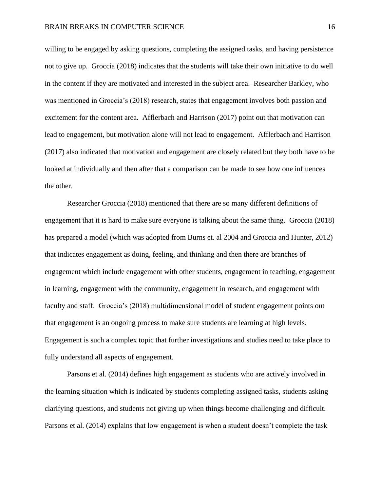willing to be engaged by asking questions, completing the assigned tasks, and having persistence not to give up. Groccia (2018) indicates that the students will take their own initiative to do well in the content if they are motivated and interested in the subject area. Researcher Barkley, who was mentioned in Groccia's (2018) research, states that engagement involves both passion and excitement for the content area. Afflerbach and Harrison (2017) point out that motivation can lead to engagement, but motivation alone will not lead to engagement. Afflerbach and Harrison (2017) also indicated that motivation and engagement are closely related but they both have to be looked at individually and then after that a comparison can be made to see how one influences the other.

Researcher Groccia (2018) mentioned that there are so many different definitions of engagement that it is hard to make sure everyone is talking about the same thing. Groccia (2018) has prepared a model (which was adopted from Burns et. al 2004 and Groccia and Hunter, 2012) that indicates engagement as doing, feeling, and thinking and then there are branches of engagement which include engagement with other students, engagement in teaching, engagement in learning, engagement with the community, engagement in research, and engagement with faculty and staff. Groccia's (2018) multidimensional model of student engagement points out that engagement is an ongoing process to make sure students are learning at high levels. Engagement is such a complex topic that further investigations and studies need to take place to fully understand all aspects of engagement.

Parsons et al. (2014) defines high engagement as students who are actively involved in the learning situation which is indicated by students completing assigned tasks, students asking clarifying questions, and students not giving up when things become challenging and difficult. Parsons et al. (2014) explains that low engagement is when a student doesn't complete the task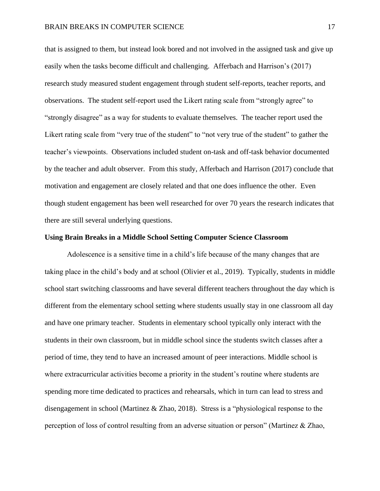that is assigned to them, but instead look bored and not involved in the assigned task and give up easily when the tasks become difficult and challenging. Afferbach and Harrison's (2017) research study measured student engagement through student self-reports, teacher reports, and observations. The student self-report used the Likert rating scale from "strongly agree" to "strongly disagree" as a way for students to evaluate themselves. The teacher report used the Likert rating scale from "very true of the student" to "not very true of the student" to gather the teacher's viewpoints. Observations included student on-task and off-task behavior documented by the teacher and adult observer. From this study, Afferbach and Harrison (2017) conclude that motivation and engagement are closely related and that one does influence the other. Even though student engagement has been well researched for over 70 years the research indicates that there are still several underlying questions.

#### **Using Brain Breaks in a Middle School Setting Computer Science Classroom**

Adolescence is a sensitive time in a child's life because of the many changes that are taking place in the child's body and at school (Olivier et al., 2019). Typically, students in middle school start switching classrooms and have several different teachers throughout the day which is different from the elementary school setting where students usually stay in one classroom all day and have one primary teacher. Students in elementary school typically only interact with the students in their own classroom, but in middle school since the students switch classes after a period of time, they tend to have an increased amount of peer interactions. Middle school is where extracurricular activities become a priority in the student's routine where students are spending more time dedicated to practices and rehearsals, which in turn can lead to stress and disengagement in school (Martinez & Zhao, 2018). Stress is a "physiological response to the perception of loss of control resulting from an adverse situation or person" (Martinez & Zhao,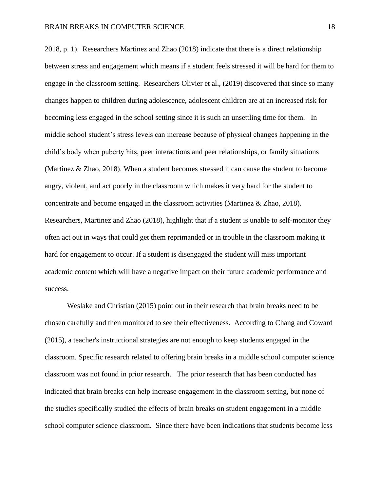2018, p. 1). Researchers Martinez and Zhao (2018) indicate that there is a direct relationship between stress and engagement which means if a student feels stressed it will be hard for them to engage in the classroom setting. Researchers Olivier et al., (2019) discovered that since so many changes happen to children during adolescence, adolescent children are at an increased risk for becoming less engaged in the school setting since it is such an unsettling time for them. In middle school student's stress levels can increase because of physical changes happening in the child's body when puberty hits, peer interactions and peer relationships, or family situations (Martinez & Zhao, 2018). When a student becomes stressed it can cause the student to become angry, violent, and act poorly in the classroom which makes it very hard for the student to concentrate and become engaged in the classroom activities (Martinez & Zhao, 2018). Researchers, Martinez and Zhao (2018), highlight that if a student is unable to self-monitor they often act out in ways that could get them reprimanded or in trouble in the classroom making it hard for engagement to occur. If a student is disengaged the student will miss important academic content which will have a negative impact on their future academic performance and success.

Weslake and Christian (2015) point out in their research that brain breaks need to be chosen carefully and then monitored to see their effectiveness. According to Chang and Coward (2015), a teacher's instructional strategies are not enough to keep students engaged in the classroom. Specific research related to offering brain breaks in a middle school computer science classroom was not found in prior research. The prior research that has been conducted has indicated that brain breaks can help increase engagement in the classroom setting, but none of the studies specifically studied the effects of brain breaks on student engagement in a middle school computer science classroom. Since there have been indications that students become less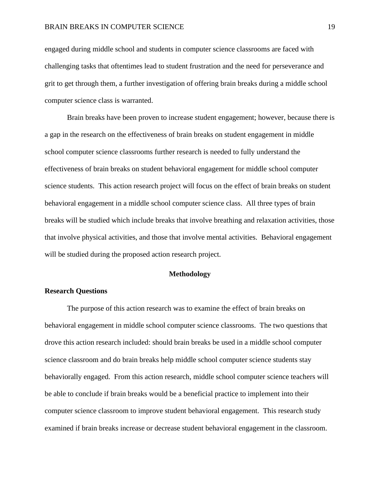engaged during middle school and students in computer science classrooms are faced with challenging tasks that oftentimes lead to student frustration and the need for perseverance and grit to get through them, a further investigation of offering brain breaks during a middle school computer science class is warranted.

Brain breaks have been proven to increase student engagement; however, because there is a gap in the research on the effectiveness of brain breaks on student engagement in middle school computer science classrooms further research is needed to fully understand the effectiveness of brain breaks on student behavioral engagement for middle school computer science students. This action research project will focus on the effect of brain breaks on student behavioral engagement in a middle school computer science class. All three types of brain breaks will be studied which include breaks that involve breathing and relaxation activities, those that involve physical activities, and those that involve mental activities. Behavioral engagement will be studied during the proposed action research project.

#### **Methodology**

#### **Research Questions**

The purpose of this action research was to examine the effect of brain breaks on behavioral engagement in middle school computer science classrooms. The two questions that drove this action research included: should brain breaks be used in a middle school computer science classroom and do brain breaks help middle school computer science students stay behaviorally engaged. From this action research, middle school computer science teachers will be able to conclude if brain breaks would be a beneficial practice to implement into their computer science classroom to improve student behavioral engagement. This research study examined if brain breaks increase or decrease student behavioral engagement in the classroom.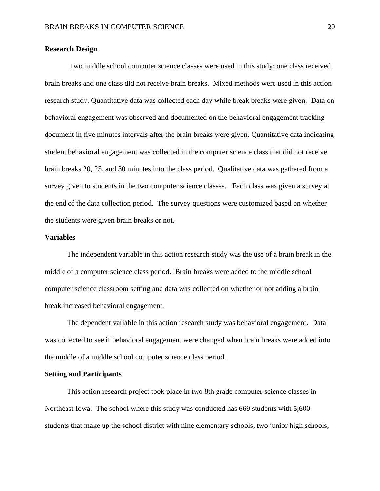#### **Research Design**

Two middle school computer science classes were used in this study; one class received brain breaks and one class did not receive brain breaks. Mixed methods were used in this action research study. Quantitative data was collected each day while break breaks were given. Data on behavioral engagement was observed and documented on the behavioral engagement tracking document in five minutes intervals after the brain breaks were given. Quantitative data indicating student behavioral engagement was collected in the computer science class that did not receive brain breaks 20, 25, and 30 minutes into the class period. Qualitative data was gathered from a survey given to students in the two computer science classes. Each class was given a survey at the end of the data collection period. The survey questions were customized based on whether the students were given brain breaks or not.

#### **Variables**

The independent variable in this action research study was the use of a brain break in the middle of a computer science class period. Brain breaks were added to the middle school computer science classroom setting and data was collected on whether or not adding a brain break increased behavioral engagement.

The dependent variable in this action research study was behavioral engagement. Data was collected to see if behavioral engagement were changed when brain breaks were added into the middle of a middle school computer science class period.

#### **Setting and Participants**

This action research project took place in two 8th grade computer science classes in Northeast Iowa. The school where this study was conducted has 669 students with 5,600 students that make up the school district with nine elementary schools, two junior high schools,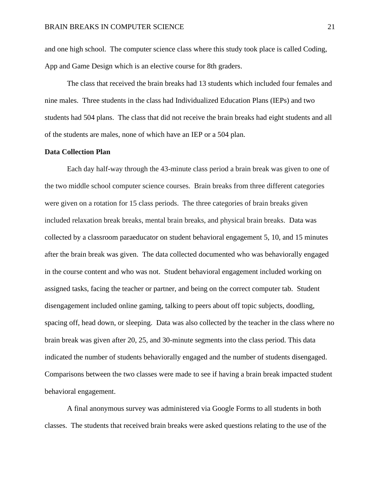and one high school. The computer science class where this study took place is called Coding, App and Game Design which is an elective course for 8th graders.

The class that received the brain breaks had 13 students which included four females and nine males. Three students in the class had Individualized Education Plans (IEPs) and two students had 504 plans. The class that did not receive the brain breaks had eight students and all of the students are males, none of which have an IEP or a 504 plan.

#### **Data Collection Plan**

Each day half-way through the 43-minute class period a brain break was given to one of the two middle school computer science courses. Brain breaks from three different categories were given on a rotation for 15 class periods. The three categories of brain breaks given included relaxation break breaks, mental brain breaks, and physical brain breaks. Data was collected by a classroom paraeducator on student behavioral engagement 5, 10, and 15 minutes after the brain break was given. The data collected documented who was behaviorally engaged in the course content and who was not. Student behavioral engagement included working on assigned tasks, facing the teacher or partner, and being on the correct computer tab. Student disengagement included online gaming, talking to peers about off topic subjects, doodling, spacing off, head down, or sleeping. Data was also collected by the teacher in the class where no brain break was given after 20, 25, and 30-minute segments into the class period. This data indicated the number of students behaviorally engaged and the number of students disengaged. Comparisons between the two classes were made to see if having a brain break impacted student behavioral engagement.

A final anonymous survey was administered via Google Forms to all students in both classes. The students that received brain breaks were asked questions relating to the use of the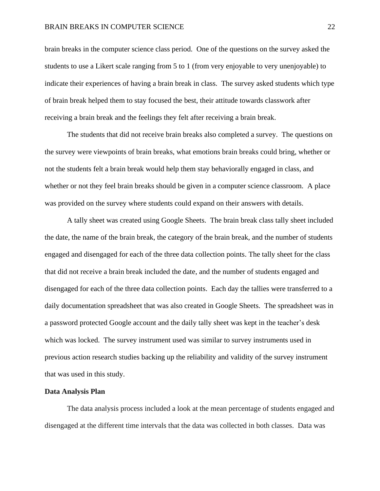brain breaks in the computer science class period. One of the questions on the survey asked the students to use a Likert scale ranging from 5 to 1 (from very enjoyable to very unenjoyable) to indicate their experiences of having a brain break in class. The survey asked students which type of brain break helped them to stay focused the best, their attitude towards classwork after receiving a brain break and the feelings they felt after receiving a brain break.

The students that did not receive brain breaks also completed a survey. The questions on the survey were viewpoints of brain breaks, what emotions brain breaks could bring, whether or not the students felt a brain break would help them stay behaviorally engaged in class, and whether or not they feel brain breaks should be given in a computer science classroom. A place was provided on the survey where students could expand on their answers with details.

A tally sheet was created using Google Sheets. The brain break class tally sheet included the date, the name of the brain break, the category of the brain break, and the number of students engaged and disengaged for each of the three data collection points. The tally sheet for the class that did not receive a brain break included the date, and the number of students engaged and disengaged for each of the three data collection points. Each day the tallies were transferred to a daily documentation spreadsheet that was also created in Google Sheets. The spreadsheet was in a password protected Google account and the daily tally sheet was kept in the teacher's desk which was locked. The survey instrument used was similar to survey instruments used in previous action research studies backing up the reliability and validity of the survey instrument that was used in this study.

#### **Data Analysis Plan**

The data analysis process included a look at the mean percentage of students engaged and disengaged at the different time intervals that the data was collected in both classes. Data was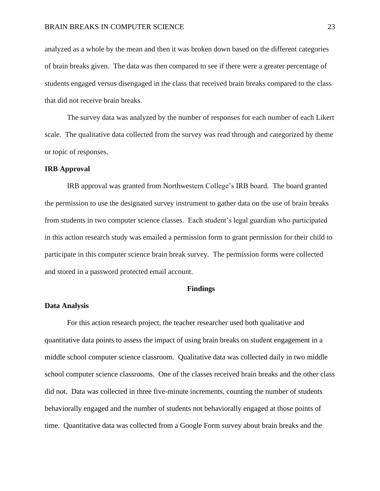analyzed as a whole by the mean and then it was broken down based on the different categories of brain breaks given. The data was then compared to see if there were a greater percentage of students engaged versus disengaged in the class that received brain breaks compared to the class that did not receive brain breaks.

The survey data was analyzed by the number of responses for each number of each Likert scale. The qualitative data collected from the survey was read through and categorized by theme or topic of responses.

#### **IRB Approval**

IRB approval was granted from Northwestern College's IRB board. The board granted the permission to use the designated survey instrument to gather data on the use of brain breaks from students in two computer science classes. Each student's legal guardian who participated in this action research study was emailed a permission form to grant permission for their child to participate in this computer science brain break survey. The permission forms were collected and stored in a password protected email account.

#### **Findings**

#### **Data Analysis**

For this action research project, the teacher researcher used both qualitative and quantitative data points to assess the impact of using brain breaks on student engagement in a middle school computer science classroom. Qualitative data was collected daily in two middle school computer science classrooms. One of the classes received brain breaks and the other class did not. Data was collected in three five-minute increments, counting the number of students behaviorally engaged and the number of students not behaviorally engaged at those points of time. Quantitative data was collected from a Google Form survey about brain breaks and the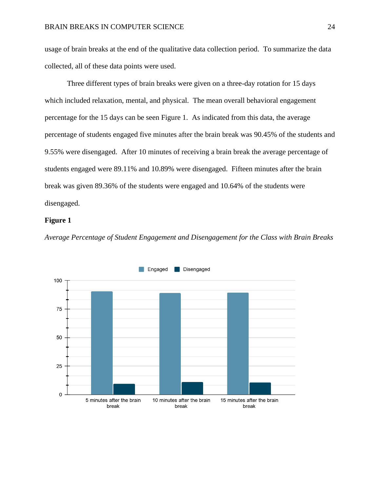usage of brain breaks at the end of the qualitative data collection period. To summarize the data collected, all of these data points were used.

Three different types of brain breaks were given on a three-day rotation for 15 days which included relaxation, mental, and physical. The mean overall behavioral engagement percentage for the 15 days can be seen Figure 1. As indicated from this data, the average percentage of students engaged five minutes after the brain break was 90.45% of the students and 9.55% were disengaged. After 10 minutes of receiving a brain break the average percentage of students engaged were 89.11% and 10.89% were disengaged. Fifteen minutes after the brain break was given 89.36% of the students were engaged and 10.64% of the students were disengaged.

#### **Figure 1**

*Average Percentage of Student Engagement and Disengagement for the Class with Brain Breaks*

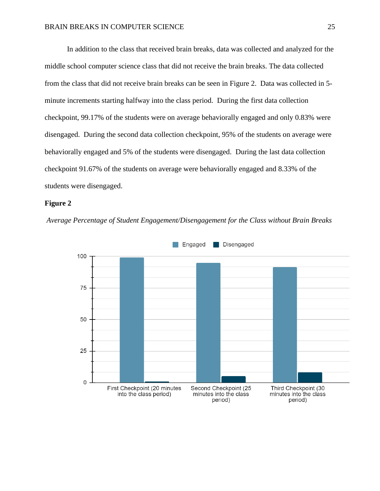In addition to the class that received brain breaks, data was collected and analyzed for the middle school computer science class that did not receive the brain breaks. The data collected from the class that did not receive brain breaks can be seen in Figure 2. Data was collected in 5 minute increments starting halfway into the class period. During the first data collection checkpoint, 99.17% of the students were on average behaviorally engaged and only 0.83% were disengaged. During the second data collection checkpoint, 95% of the students on average were behaviorally engaged and 5% of the students were disengaged. During the last data collection checkpoint 91.67% of the students on average were behaviorally engaged and 8.33% of the students were disengaged.

#### **Figure 2**



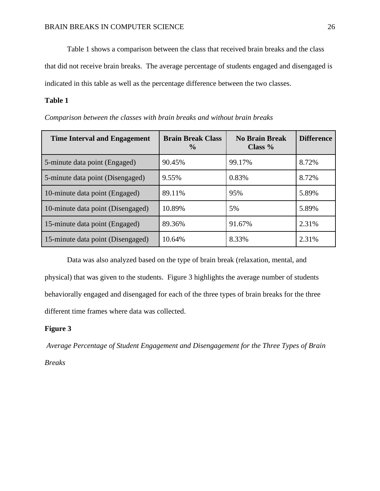Table 1 shows a comparison between the class that received brain breaks and the class that did not receive brain breaks. The average percentage of students engaged and disengaged is indicated in this table as well as the percentage difference between the two classes.

## **Table 1**

| <b>Time Interval and Engagement</b> | <b>Brain Break Class</b><br>$\frac{6}{9}$ | <b>No Brain Break</b><br>Class $%$ | <b>Difference</b> |
|-------------------------------------|-------------------------------------------|------------------------------------|-------------------|
| 5-minute data point (Engaged)       | 90.45%                                    | 99.17%                             | 8.72%             |
| 5-minute data point (Disengaged)    | 9.55%                                     | 0.83%                              | 8.72%             |
| 10-minute data point (Engaged)      | 89.11%                                    | 95%                                | 5.89%             |
| 10-minute data point (Disengaged)   | 10.89%                                    | 5%                                 | 5.89%             |
| 15-minute data point (Engaged)      | 89.36%                                    | 91.67%                             | 2.31%             |
| 15-minute data point (Disengaged)   | 10.64%                                    | 8.33%                              | 2.31%             |

Data was also analyzed based on the type of brain break (relaxation, mental, and physical) that was given to the students. Figure 3 highlights the average number of students behaviorally engaged and disengaged for each of the three types of brain breaks for the three different time frames where data was collected.

## **Figure 3**

*Average Percentage of Student Engagement and Disengagement for the Three Types of Brain Breaks*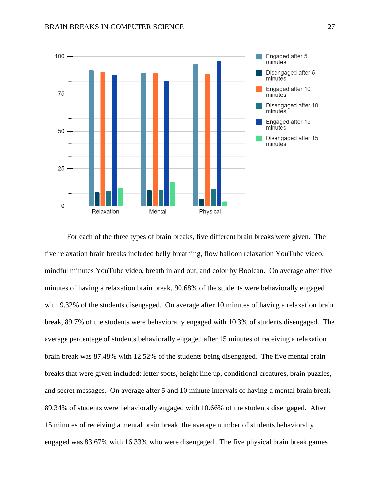

For each of the three types of brain breaks, five different brain breaks were given. The five relaxation brain breaks included belly breathing, flow balloon relaxation YouTube video, mindful minutes YouTube video, breath in and out, and color by Boolean. On average after five minutes of having a relaxation brain break, 90.68% of the students were behaviorally engaged with 9.32% of the students disengaged. On average after 10 minutes of having a relaxation brain break, 89.7% of the students were behaviorally engaged with 10.3% of students disengaged. The average percentage of students behaviorally engaged after 15 minutes of receiving a relaxation brain break was 87.48% with 12.52% of the students being disengaged. The five mental brain breaks that were given included: letter spots, height line up, conditional creatures, brain puzzles, and secret messages. On average after 5 and 10 minute intervals of having a mental brain break 89.34% of students were behaviorally engaged with 10.66% of the students disengaged. After 15 minutes of receiving a mental brain break, the average number of students behaviorally engaged was 83.67% with 16.33% who were disengaged. The five physical brain break games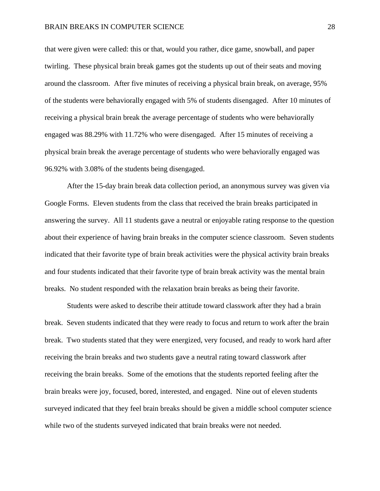#### BRAIN BREAKS IN COMPUTER SCIENCE 28

that were given were called: this or that, would you rather, dice game, snowball, and paper twirling. These physical brain break games got the students up out of their seats and moving around the classroom. After five minutes of receiving a physical brain break, on average, 95% of the students were behaviorally engaged with 5% of students disengaged. After 10 minutes of receiving a physical brain break the average percentage of students who were behaviorally engaged was 88.29% with 11.72% who were disengaged. After 15 minutes of receiving a physical brain break the average percentage of students who were behaviorally engaged was 96.92% with 3.08% of the students being disengaged.

After the 15-day brain break data collection period, an anonymous survey was given via Google Forms. Eleven students from the class that received the brain breaks participated in answering the survey. All 11 students gave a neutral or enjoyable rating response to the question about their experience of having brain breaks in the computer science classroom. Seven students indicated that their favorite type of brain break activities were the physical activity brain breaks and four students indicated that their favorite type of brain break activity was the mental brain breaks. No student responded with the relaxation brain breaks as being their favorite.

Students were asked to describe their attitude toward classwork after they had a brain break. Seven students indicated that they were ready to focus and return to work after the brain break. Two students stated that they were energized, very focused, and ready to work hard after receiving the brain breaks and two students gave a neutral rating toward classwork after receiving the brain breaks. Some of the emotions that the students reported feeling after the brain breaks were joy, focused, bored, interested, and engaged. Nine out of eleven students surveyed indicated that they feel brain breaks should be given a middle school computer science while two of the students surveyed indicated that brain breaks were not needed.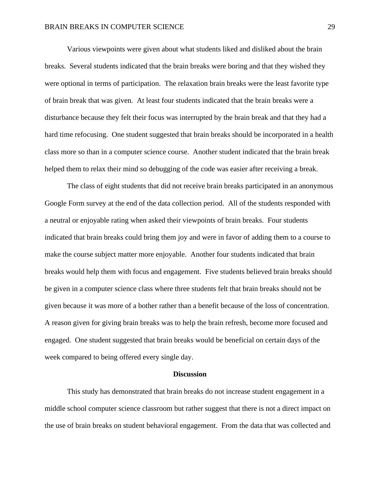Various viewpoints were given about what students liked and disliked about the brain breaks. Several students indicated that the brain breaks were boring and that they wished they were optional in terms of participation. The relaxation brain breaks were the least favorite type of brain break that was given. At least four students indicated that the brain breaks were a disturbance because they felt their focus was interrupted by the brain break and that they had a hard time refocusing. One student suggested that brain breaks should be incorporated in a health class more so than in a computer science course. Another student indicated that the brain break helped them to relax their mind so debugging of the code was easier after receiving a break.

The class of eight students that did not receive brain breaks participated in an anonymous Google Form survey at the end of the data collection period. All of the students responded with a neutral or enjoyable rating when asked their viewpoints of brain breaks. Four students indicated that brain breaks could bring them joy and were in favor of adding them to a course to make the course subject matter more enjoyable. Another four students indicated that brain breaks would help them with focus and engagement. Five students believed brain breaks should be given in a computer science class where three students felt that brain breaks should not be given because it was more of a bother rather than a benefit because of the loss of concentration. A reason given for giving brain breaks was to help the brain refresh, become more focused and engaged. One student suggested that brain breaks would be beneficial on certain days of the week compared to being offered every single day.

#### **Discussion**

This study has demonstrated that brain breaks do not increase student engagement in a middle school computer science classroom but rather suggest that there is not a direct impact on the use of brain breaks on student behavioral engagement. From the data that was collected and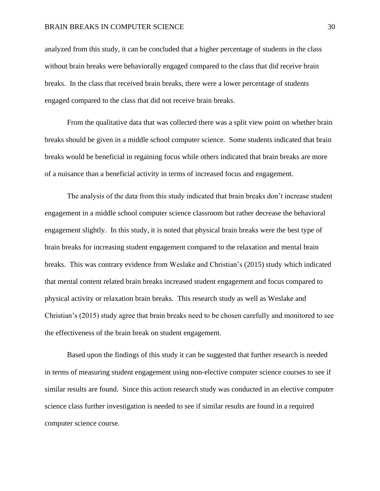#### BRAIN BREAKS IN COMPUTER SCIENCE 30

analyzed from this study, it can be concluded that a higher percentage of students in the class without brain breaks were behaviorally engaged compared to the class that did receive brain breaks. In the class that received brain breaks, there were a lower percentage of students engaged compared to the class that did not receive brain breaks.

From the qualitative data that was collected there was a split view point on whether brain breaks should be given in a middle school computer science. Some students indicated that brain breaks would be beneficial in regaining focus while others indicated that brain breaks are more of a nuisance than a beneficial activity in terms of increased focus and engagement.

The analysis of the data from this study indicated that brain breaks don't increase student engagement in a middle school computer science classroom but rather decrease the behavioral engagement slightly. In this study, it is noted that physical brain breaks were the best type of brain breaks for increasing student engagement compared to the relaxation and mental brain breaks. This was contrary evidence from Weslake and Christian's (2015) study which indicated that mental content related brain breaks increased student engagement and focus compared to physical activity or relaxation brain breaks. This research study as well as Weslake and Christian's (2015) study agree that brain breaks need to be chosen carefully and monitored to see the effectiveness of the brain break on student engagement.

Based upon the findings of this study it can be suggested that further research is needed in terms of measuring student engagement using non-elective computer science courses to see if similar results are found. Since this action research study was conducted in an elective computer science class further investigation is needed to see if similar results are found in a required computer science course.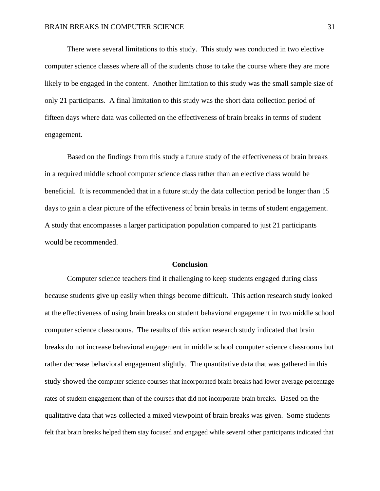There were several limitations to this study. This study was conducted in two elective computer science classes where all of the students chose to take the course where they are more likely to be engaged in the content. Another limitation to this study was the small sample size of only 21 participants. A final limitation to this study was the short data collection period of fifteen days where data was collected on the effectiveness of brain breaks in terms of student engagement.

Based on the findings from this study a future study of the effectiveness of brain breaks in a required middle school computer science class rather than an elective class would be beneficial. It is recommended that in a future study the data collection period be longer than 15 days to gain a clear picture of the effectiveness of brain breaks in terms of student engagement. A study that encompasses a larger participation population compared to just 21 participants would be recommended.

#### **Conclusion**

Computer science teachers find it challenging to keep students engaged during class because students give up easily when things become difficult. This action research study looked at the effectiveness of using brain breaks on student behavioral engagement in two middle school computer science classrooms. The results of this action research study indicated that brain breaks do not increase behavioral engagement in middle school computer science classrooms but rather decrease behavioral engagement slightly. The quantitative data that was gathered in this study showed the computer science courses that incorporated brain breaks had lower average percentage rates of student engagement than of the courses that did not incorporate brain breaks. Based on the qualitative data that was collected a mixed viewpoint of brain breaks was given. Some students felt that brain breaks helped them stay focused and engaged while several other participants indicated that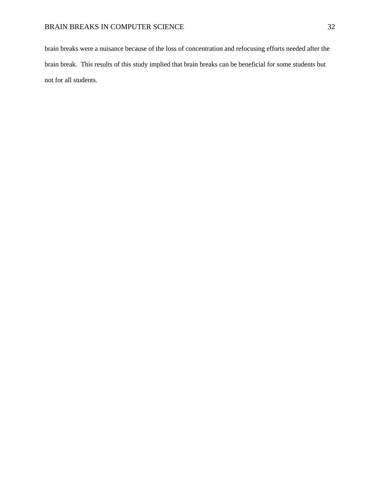brain breaks were a nuisance because of the loss of concentration and refocusing efforts needed after the brain break. This results of this study implied that brain breaks can be beneficial for some students but not for all students.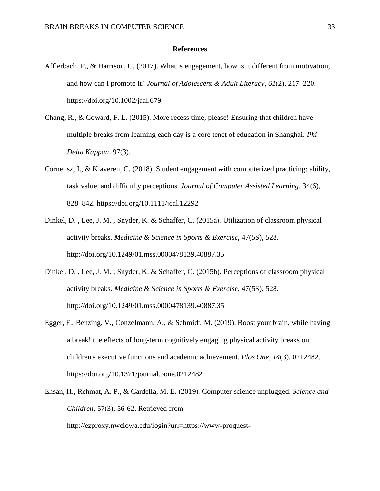#### **References**

- Afflerbach, P., & Harrison, C. (2017). What is engagement, how is it different from motivation, and how can I promote it? *Journal of Adolescent & Adult Literacy*, *61*(2), 217–220. <https://doi.org/10.1002/jaal.679>
- Chang, R., & Coward, F. L. (2015). More recess time, please! Ensuring that children have multiple breaks from learning each day is a core tenet of education in Shanghai. *Phi Delta Kappan*, 97(3).
- Cornelisz, I., & Klaveren, C. (2018). Student engagement with computerized practicing: ability, task value, and difficulty perceptions. *Journal of Computer Assisted Learning*, 34(6), 828–842.<https://doi.org/10.1111/jcal.12292>
- Dinkel, D. , Lee, J. M. , Snyder, K. & Schaffer, C. (2015a). Utilization of classroom physical activity breaks. *Medicine & Science in Sports & Exercise*, 47(5S), 528. <http://doi.org/10.1249/01.mss.0000478139.40887.35>
- Dinkel, D. , Lee, J. M. , Snyder, K. & Schaffer, C. (2015b). Perceptions of classroom physical activity breaks. *Medicine & Science in Sports & Exercise*, 47(5S), 528. <http://doi.org/10.1249/01.mss.0000478139.40887.35>
- Egger, F., Benzing, V., Conzelmann, A., & Schmidt, M. (2019). Boost your brain, while having a break! the effects of long-term cognitively engaging physical activity breaks on children's executive functions and academic achievement. *Plos One*, *14*(3), 0212482. <https://doi.org/10.1371/journal.pone.0212482>
- Ehsan, H., Rehmat, A. P., & Cardella, M. E. (2019). Computer science unplugged. *Science and Children*, 57(3), 56-62. Retrieved from

http://ezproxy.nwciowa.edu/login?url=https://www-proquest-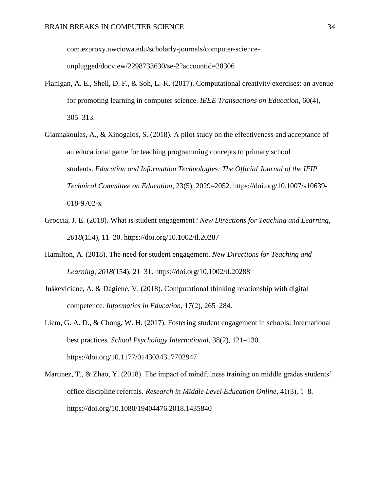com.ezproxy.nwciowa.edu/scholarly-journals/computer-science-

unplugged/docview/2298733630/se-2?accountid=28306

- Flanigan, A. E., Shell, D. F., & Soh, L.-K. (2017). Computational creativity exercises: an avenue for promoting learning in computer science. *IEEE Transactions on Education*, 60(4), 305–313.
- Giannakoulas, A., & Xinogalos, S. (2018). A pilot study on the effectiveness and acceptance of an educational game for teaching programming concepts to primary school students. *Education and Information Technologies: The Official Journal of the IFIP Technical Committee on Education*, 23(5), 2029–2052. https://doi.org/10.1007/s10639- 018-9702-x
- Groccia, J. E. (2018). What is student engagement? *New Directions for Teaching and Learning*, *2018*(154), 11–20.<https://doi.org/10.1002/tl.20287>
- Hamilton, A. (2018). The need for student engagement. *New Directions for Teaching and Learning*, *2018*(154), 21–31.<https://doi.org/10.1002/tl.20288>
- Juškeviciene, A. & Dagiene, V. (2018). Computational thinking relationship with digital competence*. Informatics in Education*, 17(2), 265–284.
- Liem, G. A. D., & Chong, W. H. (2017). Fostering student engagement in schools: International best practices. *School Psychology International*, 38(2), 121–130. <https://doi.org/10.1177/0143034317702947>
- Martinez, T., & Zhao, Y. (2018). The impact of mindfulness training on middle grades students' office discipline referrals. *Research in Middle Level Education Online*, 41(3), 1–8. <https://doi.org/10.1080/19404476.2018.1435840>